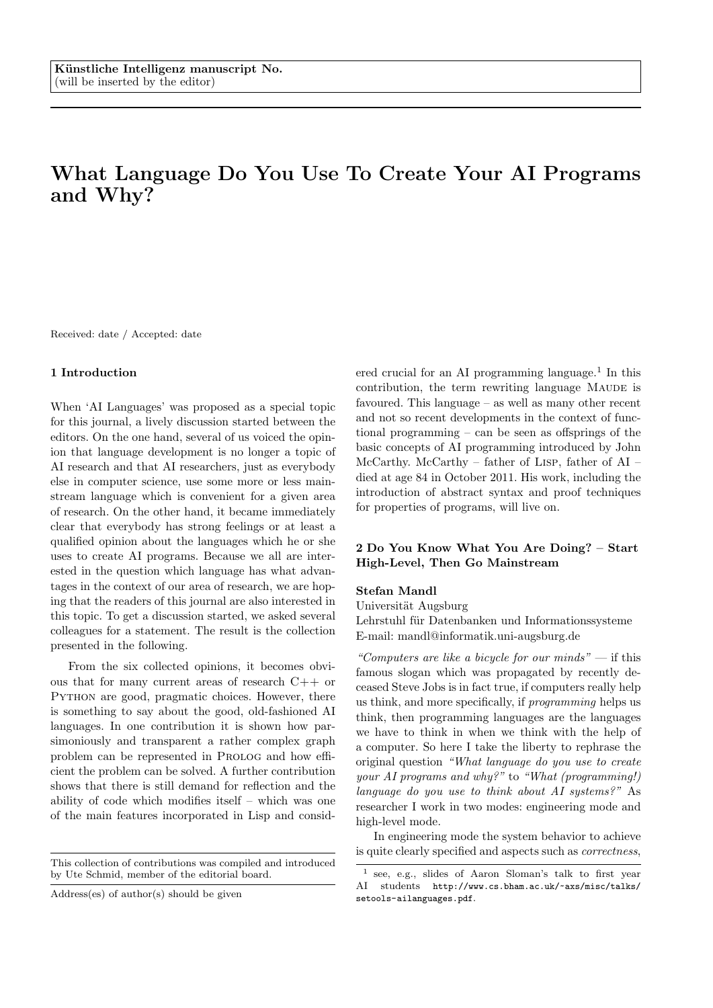# What Language Do You Use To Create Your AI Programs and Why?

Received: date / Accepted: date

# 1 Introduction

When 'AI Languages' was proposed as a special topic for this journal, a lively discussion started between the editors. On the one hand, several of us voiced the opinion that language development is no longer a topic of AI research and that AI researchers, just as everybody else in computer science, use some more or less mainstream language which is convenient for a given area of research. On the other hand, it became immediately clear that everybody has strong feelings or at least a qualified opinion about the languages which he or she uses to create AI programs. Because we all are interested in the question which language has what advantages in the context of our area of research, we are hoping that the readers of this journal are also interested in this topic. To get a discussion started, we asked several colleagues for a statement. The result is the collection presented in the following.

From the six collected opinions, it becomes obvious that for many current areas of research C++ or Python are good, pragmatic choices. However, there is something to say about the good, old-fashioned AI languages. In one contribution it is shown how parsimoniously and transparent a rather complex graph problem can be represented in Prolog and how efficient the problem can be solved. A further contribution shows that there is still demand for reflection and the ability of code which modifies itself – which was one of the main features incorporated in Lisp and consid-

This collection of contributions was compiled and introduced by Ute Schmid, member of the editorial board.

Address(es) of author(s) should be given

ered crucial for an AI programming language.<sup>1</sup> In this contribution, the term rewriting language MAUDE is favoured. This language – as well as many other recent and not so recent developments in the context of functional programming – can be seen as offsprings of the basic concepts of AI programming introduced by John McCarthy. McCarthy – father of Lisp, father of AI – died at age 84 in October 2011. His work, including the introduction of abstract syntax and proof techniques for properties of programs, will live on.

# 2 Do You Know What You Are Doing? – Start High-Level, Then Go Mainstream

## Stefan Mandl

Universität Augsburg Lehrstuhl für Datenbanken und Informationssysteme E-mail: mandl@informatik.uni-augsburg.de

"Computers are like a bicycle for our minds"  $-$  if this famous slogan which was propagated by recently deceased Steve Jobs is in fact true, if computers really help us think, and more specifically, if programming helps us think, then programming languages are the languages we have to think in when we think with the help of a computer. So here I take the liberty to rephrase the original question "What language do you use to create your AI programs and why?" to "What (programming!) language do you use to think about AI systems?" As researcher I work in two modes: engineering mode and high-level mode.

In engineering mode the system behavior to achieve is quite clearly specified and aspects such as correctness,

see, e.g., slides of Aaron Sloman's talk to first year AI students http://www.cs.bham.ac.uk/~axs/misc/talks/ setools-ailanguages.pdf.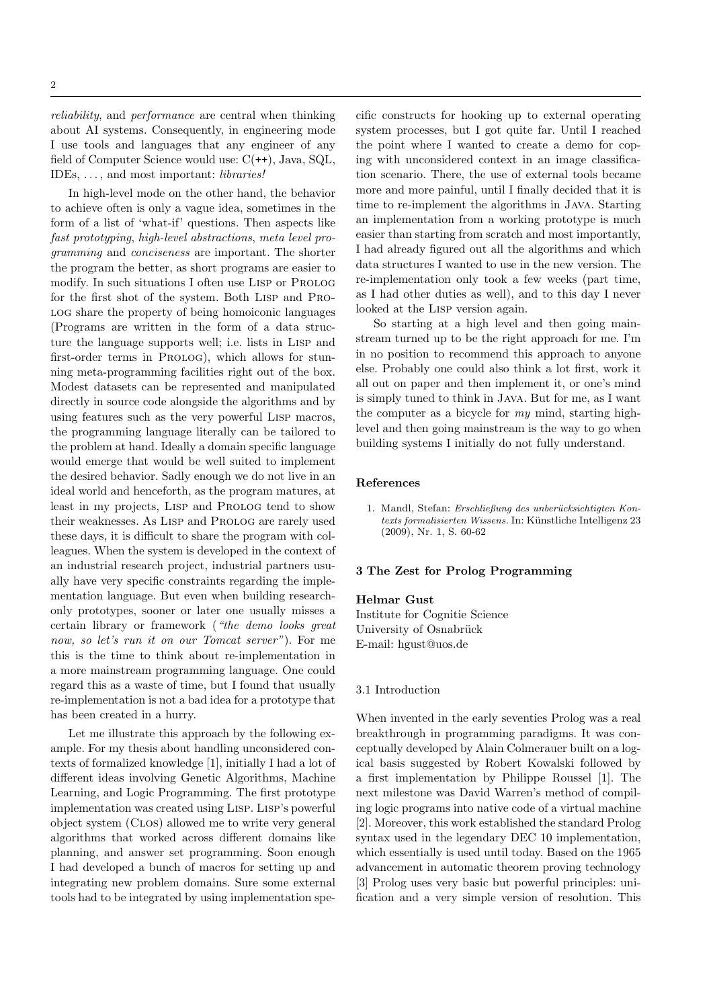2

reliability, and performance are central when thinking about AI systems. Consequently, in engineering mode I use tools and languages that any engineer of any field of Computer Science would use: C(++), Java, SQL, IDEs, . . . , and most important: libraries!

In high-level mode on the other hand, the behavior to achieve often is only a vague idea, sometimes in the form of a list of 'what-if' questions. Then aspects like fast prototyping, high-level abstractions, meta level programming and conciseness are important. The shorter the program the better, as short programs are easier to modify. In such situations I often use LISP or PROLOG for the first shot of the system. Both Lisp and Pro-LOG share the property of being homoiconic languages (Programs are written in the form of a data structure the language supports well; i.e. lists in Lisp and first-order terms in PROLOG), which allows for stunning meta-programming facilities right out of the box. Modest datasets can be represented and manipulated directly in source code alongside the algorithms and by using features such as the very powerful Lisp macros, the programming language literally can be tailored to the problem at hand. Ideally a domain specific language would emerge that would be well suited to implement the desired behavior. Sadly enough we do not live in an ideal world and henceforth, as the program matures, at least in my projects, LISP and PROLOG tend to show their weaknesses. As LISP and PROLOG are rarely used these days, it is difficult to share the program with colleagues. When the system is developed in the context of an industrial research project, industrial partners usually have very specific constraints regarding the implementation language. But even when building researchonly prototypes, sooner or later one usually misses a certain library or framework ("the demo looks great now, so let's run it on our Tomcat server"). For me this is the time to think about re-implementation in a more mainstream programming language. One could regard this as a waste of time, but I found that usually re-implementation is not a bad idea for a prototype that has been created in a hurry.

Let me illustrate this approach by the following example. For my thesis about handling unconsidered contexts of formalized knowledge [1], initially I had a lot of different ideas involving Genetic Algorithms, Machine Learning, and Logic Programming. The first prototype implementation was created using Lisp. Lisp's powerful object system (Clos) allowed me to write very general algorithms that worked across different domains like planning, and answer set programming. Soon enough I had developed a bunch of macros for setting up and integrating new problem domains. Sure some external tools had to be integrated by using implementation specific constructs for hooking up to external operating system processes, but I got quite far. Until I reached the point where I wanted to create a demo for coping with unconsidered context in an image classification scenario. There, the use of external tools became more and more painful, until I finally decided that it is time to re-implement the algorithms in Java. Starting an implementation from a working prototype is much easier than starting from scratch and most importantly, I had already figured out all the algorithms and which data structures I wanted to use in the new version. The re-implementation only took a few weeks (part time, as I had other duties as well), and to this day I never looked at the LISP version again.

So starting at a high level and then going mainstream turned up to be the right approach for me. I'm in no position to recommend this approach to anyone else. Probably one could also think a lot first, work it all out on paper and then implement it, or one's mind is simply tuned to think in Java. But for me, as I want the computer as a bicycle for  $my$  mind, starting highlevel and then going mainstream is the way to go when building systems I initially do not fully understand.

#### References

1. Mandl, Stefan: Erschließung des unberücksichtigten Kontexts formalisierten Wissens. In: Künstliche Intelligenz 23 (2009), Nr. 1, S. 60-62

## 3 The Zest for Prolog Programming

## Helmar Gust

Institute for Cognitie Science University of Osnabrück E-mail: hgust@uos.de

## 3.1 Introduction

When invented in the early seventies Prolog was a real breakthrough in programming paradigms. It was conceptually developed by Alain Colmerauer built on a logical basis suggested by Robert Kowalski followed by a first implementation by Philippe Roussel [1]. The next milestone was David Warren's method of compiling logic programs into native code of a virtual machine [2]. Moreover, this work established the standard Prolog syntax used in the legendary DEC 10 implementation, which essentially is used until today. Based on the 1965 advancement in automatic theorem proving technology [3] Prolog uses very basic but powerful principles: unification and a very simple version of resolution. This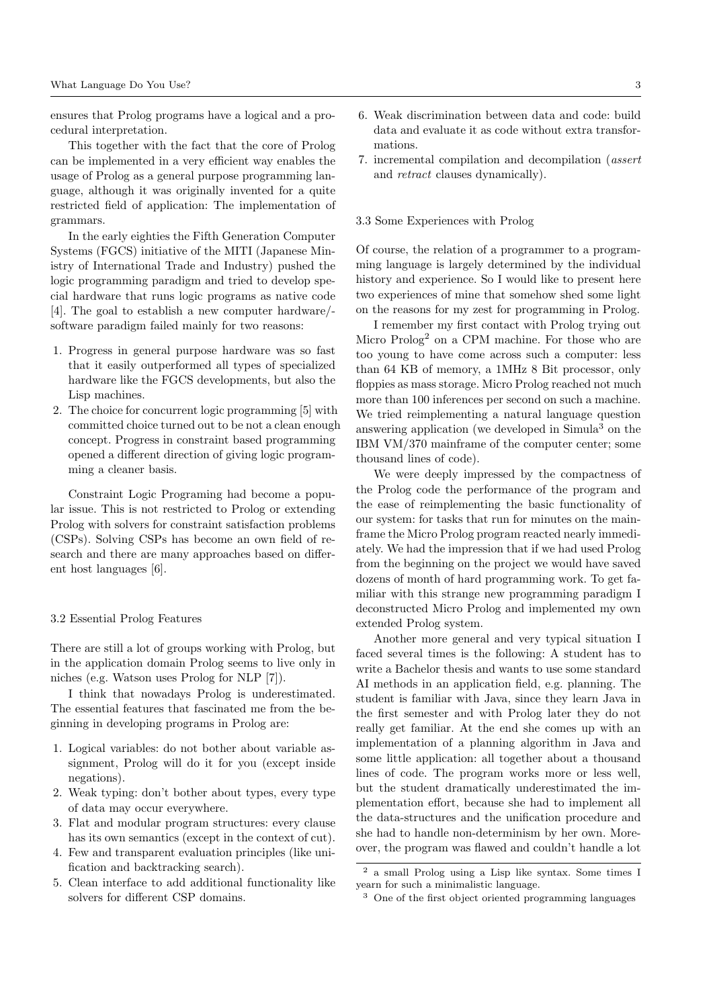ensures that Prolog programs have a logical and a procedural interpretation.

This together with the fact that the core of Prolog can be implemented in a very efficient way enables the usage of Prolog as a general purpose programming language, although it was originally invented for a quite restricted field of application: The implementation of grammars.

In the early eighties the Fifth Generation Computer Systems (FGCS) initiative of the MITI (Japanese Ministry of International Trade and Industry) pushed the logic programming paradigm and tried to develop special hardware that runs logic programs as native code [4]. The goal to establish a new computer hardware/ software paradigm failed mainly for two reasons:

- 1. Progress in general purpose hardware was so fast that it easily outperformed all types of specialized hardware like the FGCS developments, but also the Lisp machines.
- 2. The choice for concurrent logic programming [5] with committed choice turned out to be not a clean enough concept. Progress in constraint based programming opened a different direction of giving logic programming a cleaner basis.

Constraint Logic Programing had become a popular issue. This is not restricted to Prolog or extending Prolog with solvers for constraint satisfaction problems (CSPs). Solving CSPs has become an own field of research and there are many approaches based on different host languages [6].

#### 3.2 Essential Prolog Features

There are still a lot of groups working with Prolog, but in the application domain Prolog seems to live only in niches (e.g. Watson uses Prolog for NLP [7]).

I think that nowadays Prolog is underestimated. The essential features that fascinated me from the beginning in developing programs in Prolog are:

- 1. Logical variables: do not bother about variable assignment, Prolog will do it for you (except inside negations).
- 2. Weak typing: don't bother about types, every type of data may occur everywhere.
- 3. Flat and modular program structures: every clause has its own semantics (except in the context of cut).
- 4. Few and transparent evaluation principles (like unification and backtracking search).
- 5. Clean interface to add additional functionality like solvers for different CSP domains.
- 6. Weak discrimination between data and code: build data and evaluate it as code without extra transformations.
- 7. incremental compilation and decompilation (assert and retract clauses dynamically).

## 3.3 Some Experiences with Prolog

Of course, the relation of a programmer to a programming language is largely determined by the individual history and experience. So I would like to present here two experiences of mine that somehow shed some light on the reasons for my zest for programming in Prolog.

I remember my first contact with Prolog trying out Micro Prolog<sup>2</sup> on a CPM machine. For those who are too young to have come across such a computer: less than 64 KB of memory, a 1MHz 8 Bit processor, only floppies as mass storage. Micro Prolog reached not much more than 100 inferences per second on such a machine. We tried reimplementing a natural language question answering application (we developed in  $Simula<sup>3</sup>$  on the IBM VM/370 mainframe of the computer center; some thousand lines of code).

We were deeply impressed by the compactness of the Prolog code the performance of the program and the ease of reimplementing the basic functionality of our system: for tasks that run for minutes on the mainframe the Micro Prolog program reacted nearly immediately. We had the impression that if we had used Prolog from the beginning on the project we would have saved dozens of month of hard programming work. To get familiar with this strange new programming paradigm I deconstructed Micro Prolog and implemented my own extended Prolog system.

Another more general and very typical situation I faced several times is the following: A student has to write a Bachelor thesis and wants to use some standard AI methods in an application field, e.g. planning. The student is familiar with Java, since they learn Java in the first semester and with Prolog later they do not really get familiar. At the end she comes up with an implementation of a planning algorithm in Java and some little application: all together about a thousand lines of code. The program works more or less well, but the student dramatically underestimated the implementation effort, because she had to implement all the data-structures and the unification procedure and she had to handle non-determinism by her own. Moreover, the program was flawed and couldn't handle a lot

<sup>2</sup> a small Prolog using a Lisp like syntax. Some times I yearn for such a minimalistic language.

<sup>3</sup> One of the first object oriented programming languages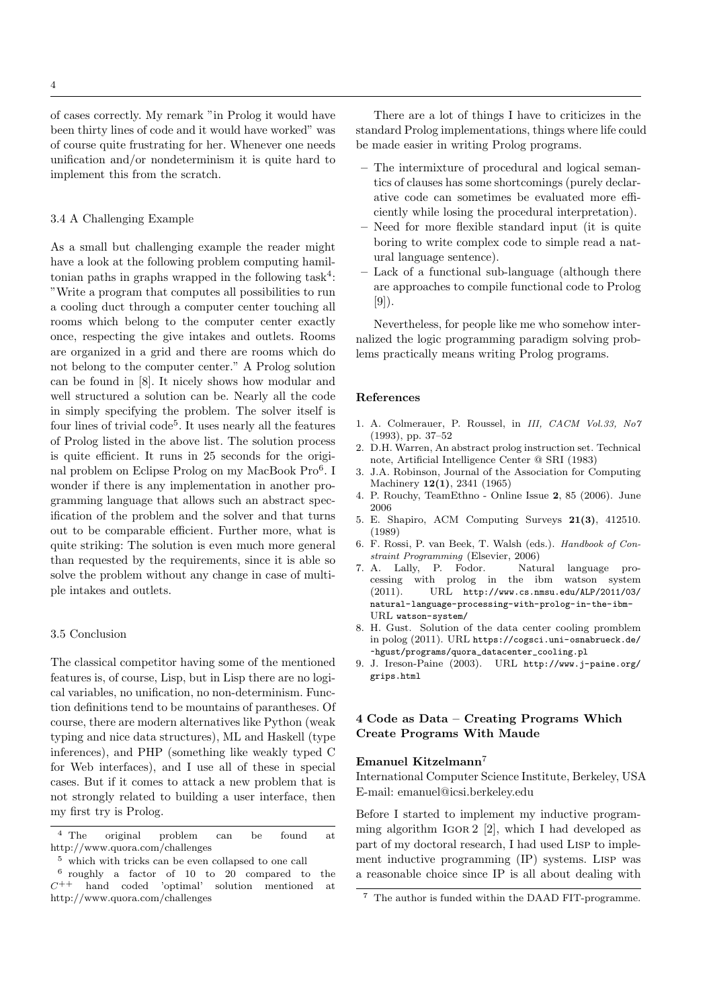of cases correctly. My remark "in Prolog it would have been thirty lines of code and it would have worked" was of course quite frustrating for her. Whenever one needs unification and/or nondeterminism it is quite hard to implement this from the scratch.

## 3.4 A Challenging Example

As a small but challenging example the reader might have a look at the following problem computing hamiltonian paths in graphs wrapped in the following  $task<sup>4</sup>$ . "Write a program that computes all possibilities to run a cooling duct through a computer center touching all rooms which belong to the computer center exactly once, respecting the give intakes and outlets. Rooms are organized in a grid and there are rooms which do not belong to the computer center." A Prolog solution can be found in [8]. It nicely shows how modular and well structured a solution can be. Nearly all the code in simply specifying the problem. The solver itself is four lines of trivial code<sup>5</sup>. It uses nearly all the features of Prolog listed in the above list. The solution process is quite efficient. It runs in 25 seconds for the original problem on Eclipse Prolog on my MacBook Pro<sup>6</sup>. I wonder if there is any implementation in another programming language that allows such an abstract specification of the problem and the solver and that turns out to be comparable efficient. Further more, what is quite striking: The solution is even much more general than requested by the requirements, since it is able so solve the problem without any change in case of multiple intakes and outlets.

## 3.5 Conclusion

The classical competitor having some of the mentioned features is, of course, Lisp, but in Lisp there are no logical variables, no unification, no non-determinism. Function definitions tend to be mountains of parantheses. Of course, there are modern alternatives like Python (weak typing and nice data structures), ML and Haskell (type inferences), and PHP (something like weakly typed C for Web interfaces), and I use all of these in special cases. But if it comes to attack a new problem that is not strongly related to building a user interface, then my first try is Prolog.

There are a lot of things I have to criticizes in the standard Prolog implementations, things where life could be made easier in writing Prolog programs.

- The intermixture of procedural and logical semantics of clauses has some shortcomings (purely declarative code can sometimes be evaluated more efficiently while losing the procedural interpretation).
- Need for more flexible standard input (it is quite boring to write complex code to simple read a natural language sentence).
- Lack of a functional sub-language (although there are approaches to compile functional code to Prolog [9]).

Nevertheless, for people like me who somehow internalized the logic programming paradigm solving problems practically means writing Prolog programs.

## References

- 1. A. Colmerauer, P. Roussel, in III, CACM Vol.33, No7 (1993), pp. 37–52
- 2. D.H. Warren, An abstract prolog instruction set. Technical note, Artificial Intelligence Center @ SRI (1983)
- 3. J.A. Robinson, Journal of the Association for Computing Machinery 12(1), 2341 (1965)
- 4. P. Rouchy, TeamEthno Online Issue 2, 85 (2006). June 2006
- 5. E. Shapiro, ACM Computing Surveys 21(3), 412510. (1989)
- 6. F. Rossi, P. van Beek, T. Walsh (eds.). Handbook of Constraint Programming (Elsevier, 2006)
- 7. A. Lally, P. Fodor. Natural language processing with prolog in the ibm watson system (2011). URL http://www.cs.nmsu.edu/ALP/2011/03/ natural-language-processing-with-prolog-in-the-ibm-URL watson-system/
- 8. H. Gust. Solution of the data center cooling promblem in polog (2011). URL https://cogsci.uni-osnabrueck.de/ ~hgust/programs/quora\_datacenter\_cooling.pl
- 9. J. Ireson-Paine (2003). URL http://www.j-paine.org/ grips.html

# 4 Code as Data – Creating Programs Which Create Programs With Maude

#### Emanuel Kitzelmann<sup>7</sup>

International Computer Science Institute, Berkeley, USA E-mail: emanuel@icsi.berkeley.edu

Before I started to implement my inductive programming algorithm IGOR  $2$  [2], which I had developed as part of my doctoral research, I had used Lisp to implement inductive programming (IP) systems. Lisp was a reasonable choice since IP is all about dealing with

<sup>&</sup>lt;sup>4</sup> The original problem can be found at http://www.quora.com/challenges

<sup>5</sup> which with tricks can be even collapsed to one call

 $\frac{6}{C}$  roughly a factor of 10 to 20 compared to the  $C^{++}$  hand coded 'optimal' solution mentioned at hand coded 'optimal' solution mentioned at http://www.quora.com/challenges

The author is funded within the DAAD FIT-programme.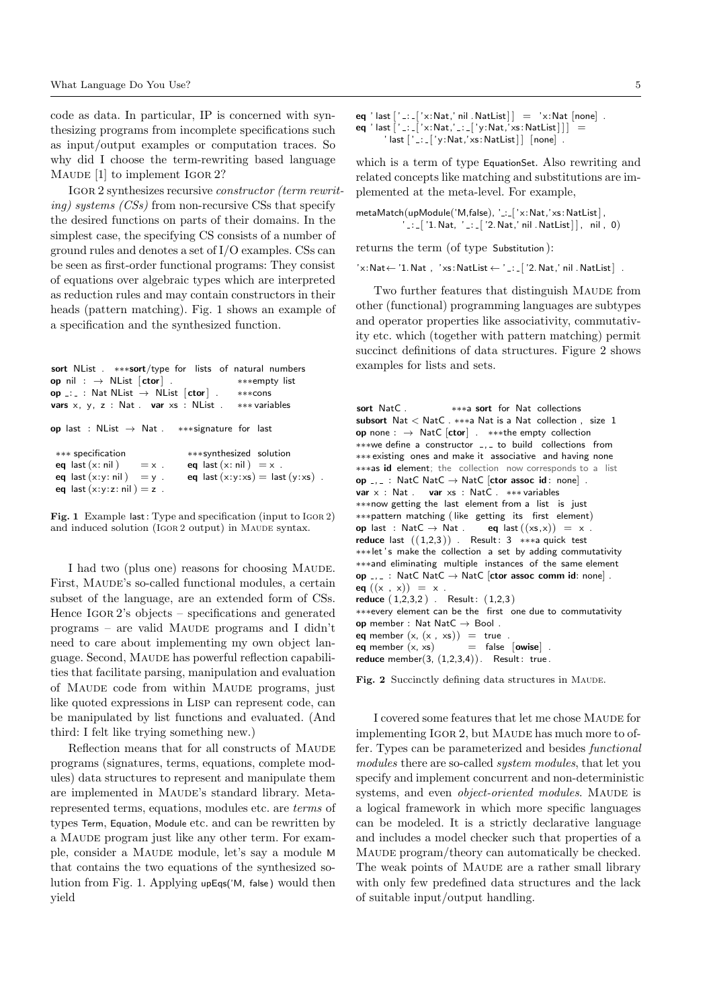code as data. In particular, IP is concerned with synthesizing programs from incomplete specifications such as input/output examples or computation traces. So why did I choose the term-rewriting based language MAUDE [1] to implement IGOR 2?

Igor 2 synthesizes recursive constructor (term rewriting) systems  $(CS<sub>s</sub>)$  from non-recursive CSs that specify the desired functions on parts of their domains. In the simplest case, the specifying CS consists of a number of ground rules and denotes a set of I/O examples. CSs can be seen as first-order functional programs: They consist of equations over algebraic types which are interpreted as reduction rules and may contain constructors in their heads (pattern matching). Fig. 1 shows an example of a specification and the synthesized function.

```
sort NList . ∗∗∗sort/type for lists of natural numbers
op nil : \rightarrow NList [ctor] . *******empty list
op : : Nat NList → NList [ ctor] . ∗∗∗cons
vars x, y, z : Nat . var xs : NList . *** variables
op last : NList → Nat . ∗∗∗signature for last
 ∗∗∗ specification
 eq last (x: \text{nil}) = x .<br>
eq last (x: y: \text{nil}) = y .
 eq last (x:y: nil)eq last (x:y:z: \text{nil}) = z.
                                  ∗∗∗synthesized solution
                                 eq last (x: \text{nil}) = x.
                                 eq last (x:y:xs) = last (y:xs).
```
Fig. 1 Example last: Type and specification (input to IGOR 2) and induced solution (IGOR 2 output) in MAUDE syntax.

I had two (plus one) reasons for choosing MAUDE. First, MAUDE's so-called functional modules, a certain subset of the language, are an extended form of CSs. Hence IGOR 2's objects – specifications and generated programs – are valid MAUDE programs and I didn't need to care about implementing my own object language. Second, Maude has powerful reflection capabilities that facilitate parsing, manipulation and evaluation of Maude code from within Maude programs, just like quoted expressions in LISP can represent code, can be manipulated by list functions and evaluated. (And third: I felt like trying something new.)

Reflection means that for all constructs of MAUDE programs (signatures, terms, equations, complete modules) data structures to represent and manipulate them are implemented in MAUDE's standard library. Metarepresented terms, equations, modules etc. are terms of types Term, Equation, Module etc. and can be rewritten by a Maude program just like any other term. For example, consider a Maude module, let's say a module <sup>M</sup> that contains the two equations of the synthesized solution from Fig. 1. Applying upEqs('M, false) would then yield

eq ' last  $[' \dots [ 'x:\text{Nat}, ' \text{nil} \dots \text{NatList} ] ] = 'x:\text{Nat [none]}$ . eq ' last  $[' - : -[' \times : \mathsf{Nat}, ' - : -[' \times : \mathsf{Nat}, ' \times : \mathsf{NatList}]] =$ ' last  $[' - : -['$ y: Nat,'xs : NatList  $]]$  [none]

which is a term of type EquationSet. Also rewriting and related concepts like matching and substitutions are implemented at the meta-level. For example,

 $metaMatch(upModule('M, false), '...['x:Nat,'xs:NatList]$  ,  $\therefore$  ['1. Nat, ' $\therefore$  ['2. Nat,' nil . NatList]], nil, 0)

returns the term (of type Substitution ):

 $'x:Nat \leftarrow '1.Nat$ ,  $'xs:NatList \leftarrow '...['2.Nat,'nil.NatList]$ .

Two further features that distinguish MAUDE from other (functional) programming languages are subtypes and operator properties like associativity, commutativity etc. which (together with pattern matching) permit succinct definitions of data structures. Figure 2 shows examples for lists and sets.

```
sort NatC . •••• *** a sort for Nat collections
subsort Nat < NatC . ***a Nat is a Nat collection, size 1
op none : \rightarrow NatC [ctor] . *** the empty collection
∗∗∗we define a constructor , to build collections from
∗∗∗ existing ones and make it associative and having none
∗∗∗as id element; the collection now corresponds to a list
op \Box, : NatC NatC \rightarrow NatC [ctor assoc id: none].
var x : Nat . var xs : NatC . *** variables
∗∗∗now getting the last element from a list is just
∗∗∗pattern matching ( like getting its first element)
op last : NatC \rightarrow Nat . eq last ((xs,x)) = x .
reduce last ((1,2,3)) . Result: 3 ***a quick test
∗∗∗let ' s make the collection a set by adding commutativity
∗∗∗and eliminating multiple instances of the same element
op \Box, \Box: NatC NatC \rightarrow NatC [ctor assoc comm id: none].
eq ((x, x)) = x.
reduce ( 1,2,3,2 ) . Result: (1,2,3)
∗∗∗every element can be the first one due to commutativity
op member : Nat NatC \rightarrow Bool.
eq member (x, (x, xs)) = true.
eq member (x, xs) = false [owise].
reduce member(3, (1,2,3,4)). Result: true.
```
Fig. 2 Succinctly defining data structures in MAUDE.

I covered some features that let me chose Maude for implementing IGOR 2, but MAUDE has much more to offer. Types can be parameterized and besides functional modules there are so-called *system modules*, that let you specify and implement concurrent and non-deterministic systems, and even *object-oriented modules*. MAUDE is a logical framework in which more specific languages can be modeled. It is a strictly declarative language and includes a model checker such that properties of a MAUDE program/theory can automatically be checked. The weak points of MAUDE are a rather small library with only few predefined data structures and the lack of suitable input/output handling.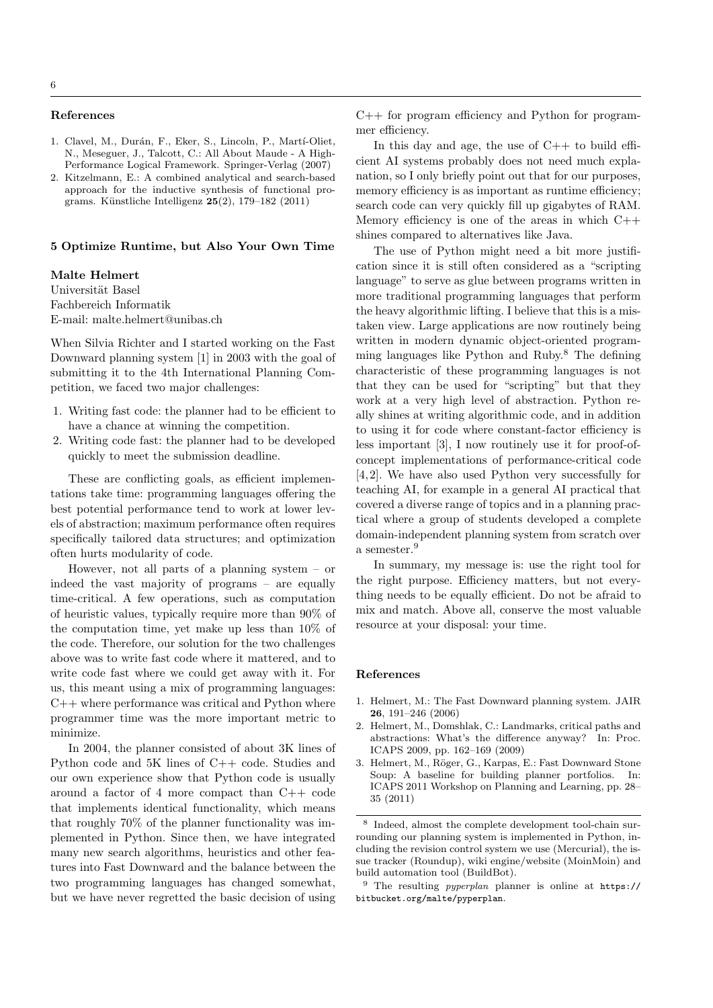# References

- 1. Clavel, M., Durán, F., Eker, S., Lincoln, P., Martí-Oliet, N., Meseguer, J., Talcott, C.: All About Maude - A High-Performance Logical Framework. Springer-Verlag (2007)
- 2. Kitzelmann, E.: A combined analytical and search-based approach for the inductive synthesis of functional programs. Künstliche Intelligenz  $25(2)$ , 179–182 (2011)

## 5 Optimize Runtime, but Also Your Own Time

Malte Helmert Universität Basel Fachbereich Informatik E-mail: malte.helmert@unibas.ch

When Silvia Richter and I started working on the Fast Downward planning system [1] in 2003 with the goal of submitting it to the 4th International Planning Competition, we faced two major challenges:

- 1. Writing fast code: the planner had to be efficient to have a chance at winning the competition.
- 2. Writing code fast: the planner had to be developed quickly to meet the submission deadline.

These are conflicting goals, as efficient implementations take time: programming languages offering the best potential performance tend to work at lower levels of abstraction; maximum performance often requires specifically tailored data structures; and optimization often hurts modularity of code.

However, not all parts of a planning system – or indeed the vast majority of programs – are equally time-critical. A few operations, such as computation of heuristic values, typically require more than 90% of the computation time, yet make up less than 10% of the code. Therefore, our solution for the two challenges above was to write fast code where it mattered, and to write code fast where we could get away with it. For us, this meant using a mix of programming languages: C++ where performance was critical and Python where programmer time was the more important metric to minimize.

In 2004, the planner consisted of about 3K lines of Python code and 5K lines of C++ code. Studies and our own experience show that Python code is usually around a factor of 4 more compact than C++ code that implements identical functionality, which means that roughly 70% of the planner functionality was implemented in Python. Since then, we have integrated many new search algorithms, heuristics and other features into Fast Downward and the balance between the two programming languages has changed somewhat, but we have never regretted the basic decision of using

C++ for program efficiency and Python for programmer efficiency.

In this day and age, the use of  $C++$  to build efficient AI systems probably does not need much explanation, so I only briefly point out that for our purposes, memory efficiency is as important as runtime efficiency; search code can very quickly fill up gigabytes of RAM. Memory efficiency is one of the areas in which  $C++$ shines compared to alternatives like Java.

The use of Python might need a bit more justification since it is still often considered as a "scripting language" to serve as glue between programs written in more traditional programming languages that perform the heavy algorithmic lifting. I believe that this is a mistaken view. Large applications are now routinely being written in modern dynamic object-oriented programming languages like Python and Ruby.<sup>8</sup> The defining characteristic of these programming languages is not that they can be used for "scripting" but that they work at a very high level of abstraction. Python really shines at writing algorithmic code, and in addition to using it for code where constant-factor efficiency is less important [3], I now routinely use it for proof-ofconcept implementations of performance-critical code [4, 2]. We have also used Python very successfully for teaching AI, for example in a general AI practical that covered a diverse range of topics and in a planning practical where a group of students developed a complete domain-independent planning system from scratch over a semester.<sup>9</sup>

In summary, my message is: use the right tool for the right purpose. Efficiency matters, but not everything needs to be equally efficient. Do not be afraid to mix and match. Above all, conserve the most valuable resource at your disposal: your time.

## References

- 1. Helmert, M.: The Fast Downward planning system. JAIR 26, 191–246 (2006)
- 2. Helmert, M., Domshlak, C.: Landmarks, critical paths and abstractions: What's the difference anyway? In: Proc. ICAPS 2009, pp. 162–169 (2009)
- 3. Helmert, M., Röger, G., Karpas, E.: Fast Downward Stone Soup: A baseline for building planner portfolios. In: ICAPS 2011 Workshop on Planning and Learning, pp. 28– 35 (2011)

 $^8\,$  Indeed, almost the complete development tool-chain surrounding our planning system is implemented in Python, including the revision control system we use (Mercurial), the issue tracker (Roundup), wiki engine/website (MoinMoin) and build automation tool (BuildBot).

<sup>9</sup> The resulting pyperplan planner is online at https:// bitbucket.org/malte/pyperplan.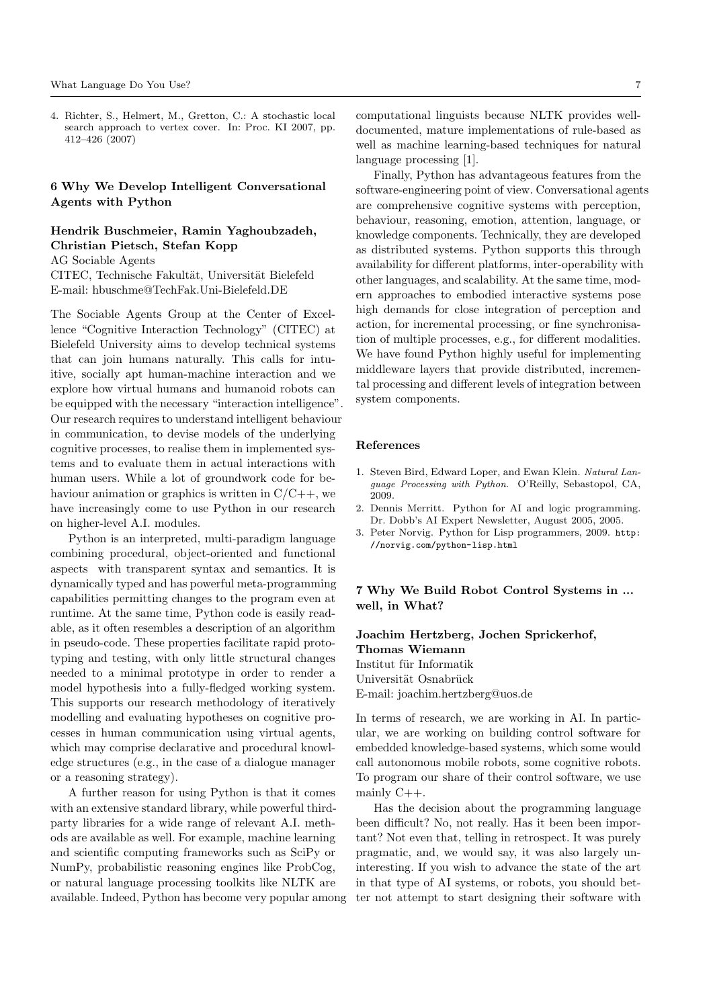4. Richter, S., Helmert, M., Gretton, C.: A stochastic local search approach to vertex cover. In: Proc. KI 2007, pp. 412–426 (2007)

## 6 Why We Develop Intelligent Conversational Agents with Python

# Hendrik Buschmeier, Ramin Yaghoubzadeh, Christian Pietsch, Stefan Kopp

AG Sociable Agents

CITEC, Technische Fakultät, Universität Bielefeld E-mail: hbuschme@TechFak.Uni-Bielefeld.DE

The Sociable Agents Group at the Center of Excellence "Cognitive Interaction Technology" (CITEC) at Bielefeld University aims to develop technical systems that can join humans naturally. This calls for intuitive, socially apt human-machine interaction and we explore how virtual humans and humanoid robots can be equipped with the necessary "interaction intelligence". Our research requires to understand intelligent behaviour in communication, to devise models of the underlying cognitive processes, to realise them in implemented systems and to evaluate them in actual interactions with human users. While a lot of groundwork code for behaviour animation or graphics is written in  $C/C++$ , we have increasingly come to use Python in our research on higher-level A.I. modules.

Python is an interpreted, multi-paradigm language combining procedural, object-oriented and functional aspects with transparent syntax and semantics. It is dynamically typed and has powerful meta-programming capabilities permitting changes to the program even at runtime. At the same time, Python code is easily readable, as it often resembles a description of an algorithm in pseudo-code. These properties facilitate rapid prototyping and testing, with only little structural changes needed to a minimal prototype in order to render a model hypothesis into a fully-fledged working system. This supports our research methodology of iteratively modelling and evaluating hypotheses on cognitive processes in human communication using virtual agents, which may comprise declarative and procedural knowledge structures (e.g., in the case of a dialogue manager or a reasoning strategy).

A further reason for using Python is that it comes with an extensive standard library, while powerful thirdparty libraries for a wide range of relevant A.I. methods are available as well. For example, machine learning and scientific computing frameworks such as SciPy or NumPy, probabilistic reasoning engines like ProbCog, or natural language processing toolkits like NLTK are available. Indeed, Python has become very popular among computational linguists because NLTK provides welldocumented, mature implementations of rule-based as well as machine learning-based techniques for natural language processing [1].

Finally, Python has advantageous features from the software-engineering point of view. Conversational agents are comprehensive cognitive systems with perception, behaviour, reasoning, emotion, attention, language, or knowledge components. Technically, they are developed as distributed systems. Python supports this through availability for different platforms, inter-operability with other languages, and scalability. At the same time, modern approaches to embodied interactive systems pose high demands for close integration of perception and action, for incremental processing, or fine synchronisation of multiple processes, e.g., for different modalities. We have found Python highly useful for implementing middleware layers that provide distributed, incremental processing and different levels of integration between system components.

#### References

- 1. Steven Bird, Edward Loper, and Ewan Klein. Natural Language Processing with Python. O'Reilly, Sebastopol, CA, 2009.
- 2. Dennis Merritt. Python for AI and logic programming. Dr. Dobb's AI Expert Newsletter, August 2005, 2005.
- 3. Peter Norvig. Python for Lisp programmers, 2009. http: //norvig.com/python-lisp.html

# 7 Why We Build Robot Control Systems in ... well, in What?

# Joachim Hertzberg, Jochen Sprickerhof, Thomas Wiemann

Institut für Informatik Universität Osnabrück E-mail: joachim.hertzberg@uos.de

In terms of research, we are working in AI. In particular, we are working on building control software for embedded knowledge-based systems, which some would call autonomous mobile robots, some cognitive robots. To program our share of their control software, we use mainly C++.

Has the decision about the programming language been difficult? No, not really. Has it been been important? Not even that, telling in retrospect. It was purely pragmatic, and, we would say, it was also largely uninteresting. If you wish to advance the state of the art in that type of AI systems, or robots, you should better not attempt to start designing their software with